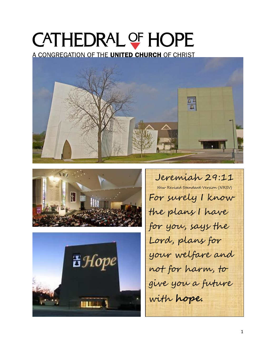# CATHEDRAL OF HOPE

A CONGREGATION OF THE UNITED CHURCH OF CHRIST







Jeremiah 29:11 New Revised Standard Version (NRSV) For surely I know the plans I have for you, says the Lord, plans for your welfare and not for harm, to give you a future with **hope.**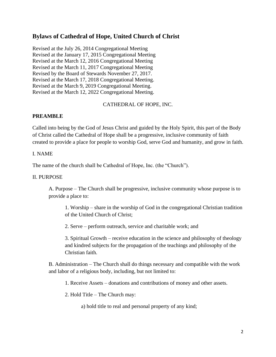## **Bylaws of Cathedral of Hope, United Church of Christ**

Revised at the July 26, 2014 Congregational Meeting Revised at the January 17, 2015 Congregational Meeting Revised at the March 12, 2016 Congregational Meeting Revised at the March 11, 2017 Congregational Meeting Revised by the Board of Stewards November 27, 2017. Revised at the March 17, 2018 Congregational Meeting. Revised at the March 9, 2019 Congregational Meeting. Revised at the March 12, 2022 Congregational Meeting.

## CATHEDRAL OF HOPE, INC.

## **PREAMBLE**

Called into being by the God of Jesus Christ and guided by the Holy Spirit, this part of the Body of Christ called the Cathedral of Hope shall be a progressive, inclusive community of faith created to provide a place for people to worship God, serve God and humanity, and grow in faith.

#### I. NAME

The name of the church shall be Cathedral of Hope, Inc. (the "Church").

#### II. PURPOSE

A. Purpose – The Church shall be progressive, inclusive community whose purpose is to provide a place to:

1. Worship – share in the worship of God in the congregational Christian tradition of the United Church of Christ;

2. Serve – perform outreach, service and charitable work; and

3. Spiritual Growth – receive education in the science and philosophy of theology and kindred subjects for the propagation of the teachings and philosophy of the Christian faith.

B. Administration – The Church shall do things necessary and compatible with the work and labor of a religious body, including, but not limited to:

1. Receive Assets – donations and contributions of money and other assets.

2. Hold Title – The Church may:

a) hold title to real and personal property of any kind;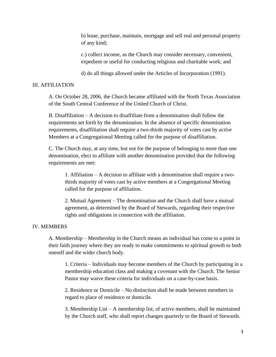b) lease, purchase, maintain, mortgage and sell real and personal property of any kind;

c.) collect income, as the Church may consider necessary, convenient, expedient or useful for conducting religious and charitable work; and

d) do all things allowed under the Articles of Incorporation (1991).

#### III. AFFILIATION

A. On October 28, 2006, the Church became affiliated with the North Texas Association of the South Central Conference of the United Church of Christ.

B. Disaffiliation – A decision to disaffiliate from a denomination shall follow the requirements set forth by the denomination. In the absence of specific denomination requirements, disaffiliation shall require a two-thirds majority of votes cast by *active* Members at a Congregational Meeting called for the purpose of disaffiliation.

C. The Church may, at any time, but not for the purpose of belonging to more than one denomination, elect to affiliate with another denomination provided that the following requirements are met:

1. Affiliation – A decision to affiliate with a denomination shall require a twothirds majority of votes cast by active members at a Congregational Meeting called for the purpose of affiliation.

2. Mutual Agreement – The denomination and the Church shall have a mutual agreement, as determined by the Board of Stewards, regarding their respective rights and obligations in connection with the affiliation.

## IV. MEMBERS

A. Membership – Membership in the Church means an individual has come to a point in their faith journey where they are ready to make commitments to spiritual growth to both oneself and the wider church body.

1. Criteria – Individuals may become members of the Church by participating in a membership education class and making a covenant with the Church. The Senior Pastor may waive these criteria for individuals on a case-by-case basis.

2. Residence or Domicile – No distinction shall be made between members in regard to place of residence or domicile.

3. Membership List – A membership list, of active members, shall be maintained by the Church staff, who shall report changes quarterly to the Board of Stewards.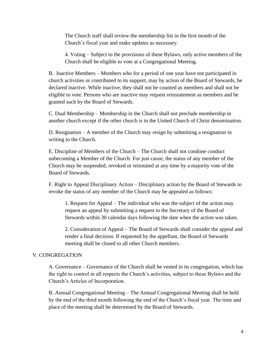The Church staff shall review the membership list in the first month of the Church's fiscal year and make updates as necessary.

4. Voting – Subject to the provisions of these Bylaws, only *active* members of the Church shall be eligible to vote at a Congregational Meeting.

B. Inactive Members – Members who for a period of one year have not participated in church activities or contributed to its support, may by action of the Board of Stewards, be declared inactive. While inactive, they shall not be counted as members and shall not be eligible to vote. Persons who are inactive may request reinstatement as members and be granted such by the Board of Stewards.

C. Dual Membership – Membership in the Church shall not preclude membership in another church except if the other church is in the United Church of Christ denomination.

D. Resignation – A member of the Church may resign by submitting a resignation in writing to the Church.

E. Discipline of Members of the Church – The Church shall not condone conduct unbecoming a Member of the Church. For just cause, the status of any member of the Church may be suspended, revoked or reinstated at any time by a majority vote of the Board of Stewards.

F. Right to Appeal Disciplinary Action – Disciplinary action by the Board of Stewards to revoke the status of any member of the Church may be appealed as follows:

1. Request for Appeal – The individual who was the subject of the action may request an appeal by submitting a request to the Secretary of the Board of Stewards within 30 calendar days following the date when the action was taken.

2. Consideration of Appeal – The Board of Stewards shall consider the appeal and render a final decision. If requested by the appellant, the Board of Stewards meeting shall be closed to all other Church members.

## V. CONGREGATION

A. Governance – Governance of the Church shall be vested in its congregation, which has the right to control in all respects the Church's activities, subject to these Bylaws and the Church's Articles of Incorporation.

B. Annual Congregational Meeting – The Annual Congregational Meeting shall be held by the end of the third month following the end of the Church's fiscal year. The time and place of the meeting shall be determined by the Board of Stewards.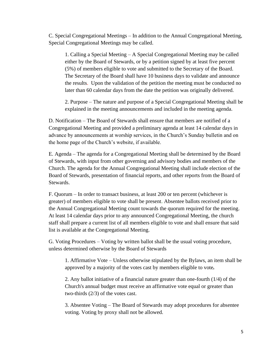C. Special Congregational Meetings – In addition to the Annual Congregational Meeting, Special Congregational Meetings may be called.

1. Calling a Special Meeting – A Special Congregational Meeting may be called either by the Board of Stewards, or by a petition signed by at least five percent (5%) of members eligible to vote and submitted to the Secretary of the Board. The Secretary of the Board shall have 10 business days to validate and announce the results. Upon the validation of the petition the meeting must be conducted no later than 60 calendar days from the date the petition was originally delivered.

2. Purpose – The nature and purpose of a Special Congregational Meeting shall be explained in the meeting announcements and included in the meeting agenda.

D. Notification – The Board of Stewards shall ensure that members are notified of a Congregational Meeting and provided a preliminary agenda at least 14 calendar days in advance by announcements at worship services, in the Church's Sunday bulletin and on the home page of the Church's website, if available.

E. Agenda – The agenda for a Congregational Meeting shall be determined by the Board of Stewards, with input from other governing and advisory bodies and members of the Church. The agenda for the Annual Congregational Meeting shall include election of the Board of Stewards, presentation of financial reports, and other reports from the Board of Stewards.

F. Quorum – In order to transact business, at least 200 or ten percent (whichever is greater) of members eligible to vote shall be present. Absentee ballots received prior to the Annual Congregational Meeting count towards the quorum required for the meeting. At least 14 calendar days prior to any announced Congregational Meeting, the church staff shall prepare a current list of all members eligible to vote and shall ensure that said list is available at the Congregational Meeting.

G. Voting Procedures – Voting by written ballot shall be the usual voting procedure, unless determined otherwise by the Board of Stewards

1. Affirmative Vote – Unless otherwise stipulated by the Bylaws, an item shall be approved by a majority of the votes cast by members eligible to vote*.*

2. Any ballot initiative of a financial nature greater than one-fourth (1/4) of the Church's annual budget must receive an affirmative vote equal or greater than two-thirds (2/3) of the votes cast.

3. Absentee Voting – The Board of Stewards may adopt procedures for absentee voting. Voting by proxy shall not be allowed.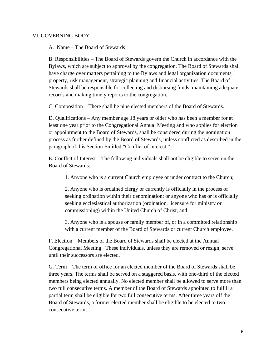#### VI. GOVERNING BODY

A. Name – The Board of Stewards

B. Responsibilities – The Board of Stewards govern the Church in accordance with the Bylaws, which are subject to approval by the congregation. The Board of Stewards shall have charge over matters pertaining to the Bylaws and legal organization documents, property, risk management, strategic planning and financial activities. The Board of Stewards shall be responsible for collecting and disbursing funds, maintaining adequate records and making timely reports to the congregation.

C. Composition – There shall be nine elected members of the Board of Stewards.

D. Qualifications – Any member age 18 years or older who has been a member for at least one year prior to the Congregational Annual Meeting and who applies for election or appointment to the Board of Stewards, shall be considered during the nomination process as further defined by the Board of Stewards, unless conflicted as described in the paragraph of this Section Entitled "Conflict of Interest."

E. Conflict of Interest – The following individuals shall not be eligible to serve on the Board of Stewards:

1. Anyone who is a current Church employee or under contract to the Church;

2. Anyone who is ordained clergy or currently is officially in the process of seeking ordination within their denomination; or anyone who has or is officially seeking ecclesiastical authorization (ordination, licensure for ministry or commissioning) within the United Church of Christ, and

3. Anyone who is a spouse or family member of, or in a committed relationship with a current member of the Board of Stewards or current Church employee.

F. Election – Members of the Board of Stewards shall be elected at the Annual Congregational Meeting. These individuals, unless they are removed or resign, serve until their successors are elected.

G. Term – The term of office for an elected member of the Board of Stewards shall be three years. The terms shall be served on a staggered basis, with one-third of the elected members being elected annually. No elected member shall be allowed to serve more than two full consecutive terms. A member of the Board of Stewards appointed to fulfill a partial term shall be eligible for two full consecutive terms. After three years off the Board of Stewards, a former elected member shall be eligible to be elected to two consecutive terms.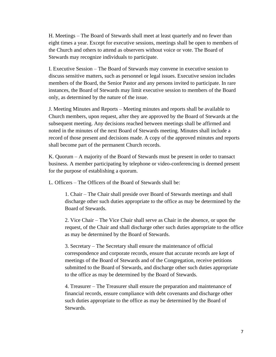H. Meetings – The Board of Stewards shall meet at least quarterly and no fewer than eight times a year. Except for executive sessions, meetings shall be open to members of the Church and others to attend as observers without voice or vote. The Board of Stewards may recognize individuals to participate.

I. Executive Session – The Board of Stewards may convene in executive session to discuss sensitive matters, such as personnel or legal issues. Executive session includes members of the Board, the Senior Pastor and any persons invited to participate. In rare instances, the Board of Stewards may limit executive session to members of the Board only, as determined by the nature of the issue.

J. Meeting Minutes and Reports – Meeting minutes and reports shall be available to Church members, upon request, after they are approved by the Board of Stewards at the subsequent meeting. Any decisions reached between meetings shall be affirmed and noted in the minutes of the next Board of Stewards meeting. Minutes shall include a record of those present and decisions made. A copy of the approved minutes and reports shall become part of the permanent Church records.

K. Quorum – A majority of the Board of Stewards must be present in order to transact business. A member participating by telephone or video-conferencing is deemed present for the purpose of establishing a quorum.

L. Officers – The Officers of the Board of Stewards shall be:

1. Chair – The Chair shall preside over Board of Stewards meetings and shall discharge other such duties appropriate to the office as may be determined by the Board of Stewards.

2. Vice Chair – The Vice Chair shall serve as Chair in the absence, or upon the request, of the Chair and shall discharge other such duties appropriate to the office as may be determined by the Board of Stewards.

3. Secretary – The Secretary shall ensure the maintenance of official correspondence and corporate records, ensure that accurate records are kept of meetings of the Board of Stewards and of the Congregation, receive petitions submitted to the Board of Stewards, and discharge other such duties appropriate to the office as may be determined by the Board of Stewards.

4. Treasurer – The Treasurer shall ensure the preparation and maintenance of financial records, ensure compliance with debt covenants and discharge other such duties appropriate to the office as may be determined by the Board of Stewards.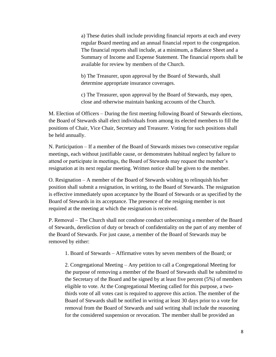a) These duties shall include providing financial reports at each and every regular Board meeting and an annual financial report to the congregation. The financial reports shall include, at a minimum, a Balance Sheet and a Summary of Income and Expense Statement. The financial reports shall be available for review by members of the Church.

b) The Treasurer, upon approval by the Board of Stewards, shall determine appropriate insurance coverages.

c) The Treasurer, upon approval by the Board of Stewards, may open, close and otherwise maintain banking accounts of the Church.

M. Election of Officers – During the first meeting following Board of Stewards elections, the Board of Stewards shall elect individuals from among its elected members to fill the positions of Chair, Vice Chair, Secretary and Treasurer. Voting for such positions shall be held annually.

N. Participation – If a member of the Board of Stewards misses two consecutive regular meetings, each without justifiable cause, or demonstrates habitual neglect by failure to attend or participate in meetings, the Board of Stewards may request the member's resignation at its next regular meeting. Written notice shall be given to the member.

O. Resignation – A member of the Board of Stewards wishing to relinquish his/her position shall submit a resignation, in writing, to the Board of Stewards. The resignation is effective immediately upon acceptance by the Board of Stewards or as specified by the Board of Stewards in its acceptance. The presence of the resigning member is not required at the meeting at which the resignation is received.

P. Removal – The Church shall not condone conduct unbecoming a member of the Board of Stewards, dereliction of duty or breach of confidentiality on the part of any member of the Board of Stewards. For just cause, a member of the Board of Stewards may be removed by either:

1. Board of Stewards – Affirmative votes by seven members of the Board; or

2. Congregational Meeting – Any petition to call a Congregational Meeting for the purpose of removing a member of the Board of Stewards shall be submitted to the Secretary of the Board and be signed by at least five percent (5%) of members eligible to vote. At the Congregational Meeting called for this purpose, a twothirds vote of all votes cast is required to approve this action. The member of the Board of Stewards shall be notified in writing at least 30 days prior to a vote for removal from the Board of Stewards and said writing shall include the reasoning for the considered suspension or revocation. The member shall be provided an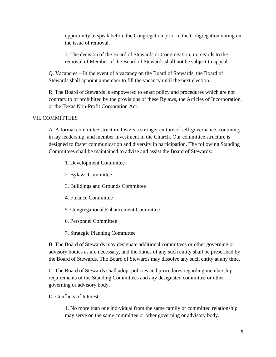opportunity to speak before the Congregation prior to the Congregation voting on the issue of removal.

3. The decision of the Board of Stewards or Congregation, in regards to the removal of Member of the Board of Stewards shall not be subject to appeal.

Q. Vacancies – In the event of a vacancy on the Board of Stewards, the Board of Stewards shall appoint a member to fill the vacancy until the next election.

R. The Board of Stewards is empowered to enact policy and procedures which are not contrary to or prohibited by the provisions of these Bylaws, the Articles of Incorporation, or the Texas Non-Profit Corporation Act.

## VII. COMMITTEES

A. A formal committee structure fosters a stronger culture of self-governance, continuity in lay leadership, and member investment in the Church. Our committee structure is designed to foster communication and diversity in participation. The following Standing Committees shall be maintained to advise and assist the Board of Stewards:

- 1. Development Committee
- 2. Bylaws Committee
- 3. Buildings and Grounds Committee
- 4. Finance Committee
- 5. Congregational Enhancement Committee
- 6. Personnel Committee
- 7. Strategic Planning Committee

B. The Board of Stewards may designate additional committees or other governing or advisory bodies as are necessary, and the duties of any such entity shall be prescribed by the Board of Stewards. The Board of Stewards may dissolve any such entity at any time.

C. The Board of Stewards shall adopt policies and procedures regarding membership requirements of the Standing Committees and any designated committee or other governing or advisory body.

D. Conflicts of Interest:

1. No more than one individual from the same family or committed relationship may serve on the same committee or other governing or advisory body.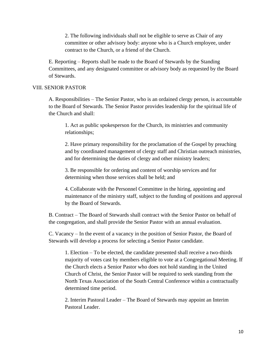2. The following individuals shall not be eligible to serve as Chair of any committee or other advisory body: anyone who is a Church employee, under contract to the Church, or a friend of the Church.

E. Reporting – Reports shall be made to the Board of Stewards by the Standing Committees, and any designated committee or advisory body as requested by the Board of Stewards.

#### VIII. SENIOR PASTOR

A. Responsibilities – The Senior Pastor, who is an ordained clergy person, is accountable to the Board of Stewards. The Senior Pastor provides leadership for the spiritual life of the Church and shall:

1. Act as public spokesperson for the Church, its ministries and community relationships;

2. Have primary responsibility for the proclamation of the Gospel by preaching and by coordinated management of clergy staff and Christian outreach ministries, and for determining the duties of clergy and other ministry leaders;

3. Be responsible for ordering and content of worship services and for determining when those services shall be held; and

4. Collaborate with the Personnel Committee in the hiring, appointing and maintenance of the ministry staff, subject to the funding of positions and approval by the Board of Stewards.

B. Contract – The Board of Stewards shall contract with the Senior Pastor on behalf of the congregation, and shall provide the Senior Pastor with an annual evaluation.

C. Vacancy – In the event of a vacancy in the position of Senior Pastor, the Board of Stewards will develop a process for selecting a Senior Pastor candidate.

1. Election – To be elected, the candidate presented shall receive a two-thirds majority of votes cast by members eligible to vote at a Congregational Meeting. If the Church elects a Senior Pastor who does not hold standing in the United Church of Christ, the Senior Pastor will be required to seek standing from the North Texas Association of the South Central Conference within a contractually determined time period.

2. Interim Pastoral Leader – The Board of Stewards may appoint an Interim Pastoral Leader.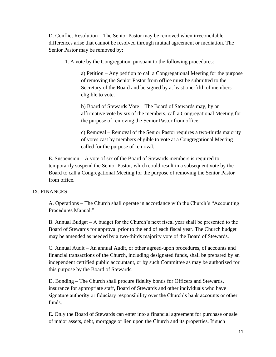D. Conflict Resolution – The Senior Pastor may be removed when irreconcilable differences arise that cannot be resolved through mutual agreement or mediation. The Senior Pastor may be removed by:

1. A vote by the Congregation, pursuant to the following procedures:

a) Petition – Any petition to call a Congregational Meeting for the purpose of removing the Senior Pastor from office must be submitted to the Secretary of the Board and be signed by at least one-fifth of members eligible to vote.

b) Board of Stewards Vote – The Board of Stewards may, by an affirmative vote by six of the members, call a Congregational Meeting for the purpose of removing the Senior Pastor from office.

c) Removal – Removal of the Senior Pastor requires a two-thirds majority of votes cast by members eligible to vote at a Congregational Meeting called for the purpose of removal.

E. Suspension – A vote of six of the Board of Stewards members is required to temporarily suspend the Senior Pastor, which could result in a subsequent vote by the Board to call a Congregational Meeting for the purpose of removing the Senior Pastor from office.

## IX. FINANCES

A. Operations – The Church shall operate in accordance with the Church's "Accounting Procedures Manual."

B. Annual Budget – A budget for the Church's next fiscal year shall be presented to the Board of Stewards for approval prior to the end of each fiscal year. The Church budget may be amended as needed by a two-thirds majority vote of the Board of Stewards.

C. Annual Audit – An annual Audit, or other agreed-upon procedures, of accounts and financial transactions of the Church, including designated funds, shall be prepared by an independent certified public accountant, or by such Committee as may be authorized for this purpose by the Board of Stewards.

D. Bonding – The Church shall procure fidelity bonds for Officers and Stewards, insurance for appropriate staff, Board of Stewards and other individuals who have signature authority or fiduciary responsibility over the Church's bank accounts or other funds.

E. Only the Board of Stewards can enter into a financial agreement for purchase or sale of major assets, debt, mortgage or lien upon the Church and its properties. If such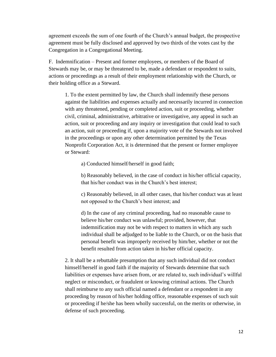agreement exceeds the sum of one fourth of the Church's annual budget, the prospective agreement must be fully disclosed and approved by two thirds of the votes cast by the Congregation in a Congregational Meeting.

F. Indemnification – Present and former employees, or members of the Board of Stewards may be, or may be threatened to be, made a defendant or respondent to suits, actions or proceedings as a result of their employment relationship with the Church, or their holding office as a Steward.

1. To the extent permitted by law, the Church shall indemnify these persons against the liabilities and expenses actually and necessarily incurred in connection with any threatened, pending or completed action, suit or proceeding, whether civil, criminal, administrative, arbitrative or investigative, any appeal in such an action, suit or proceeding and any inquiry or investigation that could lead to such an action, suit or proceeding if, upon a majority vote of the Stewards not involved in the proceedings or upon any other determination permitted by the Texas Nonprofit Corporation Act, it is determined that the present or former employee or Steward:

a) Conducted himself/herself in good faith;

b) Reasonably believed, in the case of conduct in his/her official capacity, that his/her conduct was in the Church's best interest;

c) Reasonably believed, in all other cases, that his/her conduct was at least not opposed to the Church's best interest; and

d) In the case of any criminal proceeding, had no reasonable cause to believe his/her conduct was unlawful; provided, however, that indemnification may not be with respect to matters in which any such individual shall be adjudged to be liable to the Church, or on the basis that personal benefit was improperly received by him/her, whether or not the benefit resulted from action taken in his/her official capacity.

2. It shall be a rebuttable presumption that any such individual did not conduct himself/herself in good faith if the majority of Stewards determine that such liabilities or expenses have arisen from, or are related to, such individual's willful neglect or misconduct, or fraudulent or knowing criminal actions. The Church shall reimburse to any such official named a defendant or a respondent in any proceeding by reason of his/her holding office, reasonable expenses of such suit or proceeding if he/she has been wholly successful, on the merits or otherwise, in defense of such proceeding.